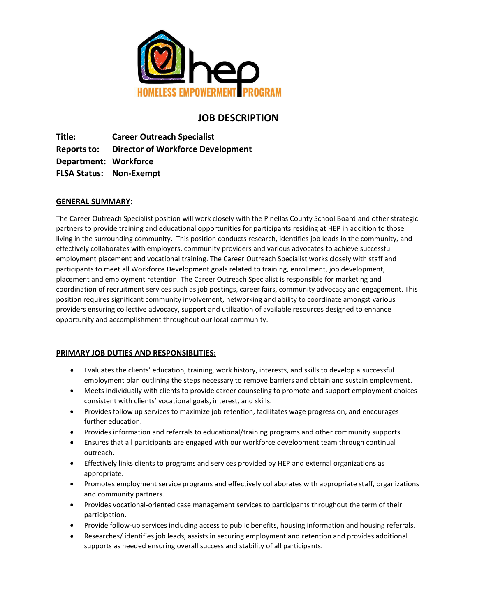

# **JOB DESCRIPTION**

**Title: Career Outreach Specialist Reports to: Director of Workforce Development Department: Workforce FLSA Status: Non-Exempt** 

# **GENERAL SUMMARY**:

The Career Outreach Specialist position will work closely with the Pinellas County School Board and other strategic partners to provide training and educational opportunities for participants residing at HEP in addition to those living in the surrounding community. This position conducts research, identifies job leads in the community, and effectively collaborates with employers, community providers and various advocates to achieve successful employment placement and vocational training. The Career Outreach Specialist works closely with staff and participants to meet all Workforce Development goals related to training, enrollment, job development, placement and employment retention. The Career Outreach Specialist is responsible for marketing and coordination of recruitment services such as job postings, career fairs, community advocacy and engagement. This position requires significant community involvement, networking and ability to coordinate amongst various providers ensuring collective advocacy, support and utilization of available resources designed to enhance opportunity and accomplishment throughout our local community.

### **PRIMARY JOB DUTIES AND RESPONSIBLITIES:**

- Evaluates the clients' education, training, work history, interests, and skills to develop a successful employment plan outlining the steps necessary to remove barriers and obtain and sustain employment.
- Meets individually with clients to provide career counseling to promote and support employment choices consistent with clients' vocational goals, interest, and skills.
- Provides follow up services to maximize job retention, facilitates wage progression, and encourages further education.
- Provides information and referrals to educational/training programs and other community supports.
- Ensures that all participants are engaged with our workforce development team through continual outreach.
- Effectively links clients to programs and services provided by HEP and external organizations as appropriate.
- Promotes employment service programs and effectively collaborates with appropriate staff, organizations and community partners.
- Provides vocational-oriented case management services to participants throughout the term of their participation.
- Provide follow-up services including access to public benefits, housing information and housing referrals.
- Researches/ identifies job leads, assists in securing employment and retention and provides additional supports as needed ensuring overall success and stability of all participants.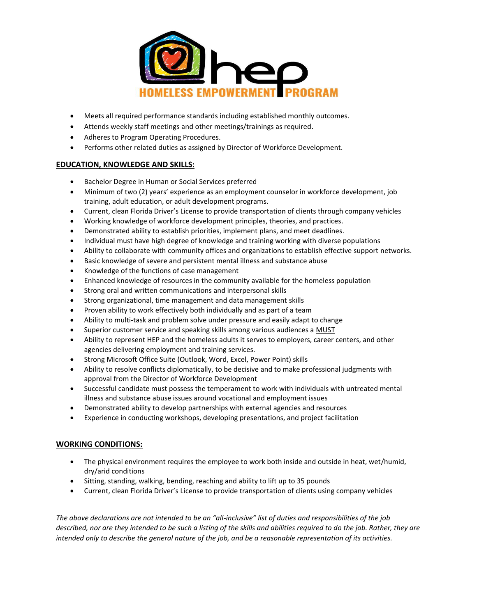

- Meets all required performance standards including established monthly outcomes.
- Attends weekly staff meetings and other meetings/trainings as required.
- Adheres to Program Operating Procedures.
- Performs other related duties as assigned by Director of Workforce Development.

# **EDUCATION, KNOWLEDGE AND SKILLS:**

- Bachelor Degree in Human or Social Services preferred
- Minimum of two (2) years' experience as an employment counselor in workforce development, job training, adult education, or adult development programs.
- Current, clean Florida Driver's License to provide transportation of clients through company vehicles
- Working knowledge of workforce development principles, theories, and practices.
- Demonstrated ability to establish priorities, implement plans, and meet deadlines.
- Individual must have high degree of knowledge and training working with diverse populations
- Ability to collaborate with community offices and organizations to establish effective support networks.
- Basic knowledge of severe and persistent mental illness and substance abuse
- Knowledge of the functions of case management
- Enhanced knowledge of resources in the community available for the homeless population
- Strong oral and written communications and interpersonal skills
- Strong organizational, time management and data management skills
- Proven ability to work effectively both individually and as part of a team
- Ability to multi-task and problem solve under pressure and easily adapt to change
- Superior customer service and speaking skills among various audiences a MUST
- Ability to represent HEP and the homeless adults it serves to employers, career centers, and other agencies delivering employment and training services.
- Strong Microsoft Office Suite (Outlook, Word, Excel, Power Point) skills
- Ability to resolve conflicts diplomatically, to be decisive and to make professional judgments with approval from the Director of Workforce Development
- Successful candidate must possess the temperament to work with individuals with untreated mental illness and substance abuse issues around vocational and employment issues
- Demonstrated ability to develop partnerships with external agencies and resources
- Experience in conducting workshops, developing presentations, and project facilitation

### **WORKING CONDITIONS:**

- The physical environment requires the employee to work both inside and outside in heat, wet/humid, dry/arid conditions
- Sitting, standing, walking, bending, reaching and ability to lift up to 35 pounds
- Current, clean Florida Driver's License to provide transportation of clients using company vehicles

*The above declarations are not intended to be an "all-inclusive" list of duties and responsibilities of the job described, nor are they intended to be such a listing of the skills and abilities required to do the job. Rather, they are intended only to describe the general nature of the job, and be a reasonable representation of its activities.*